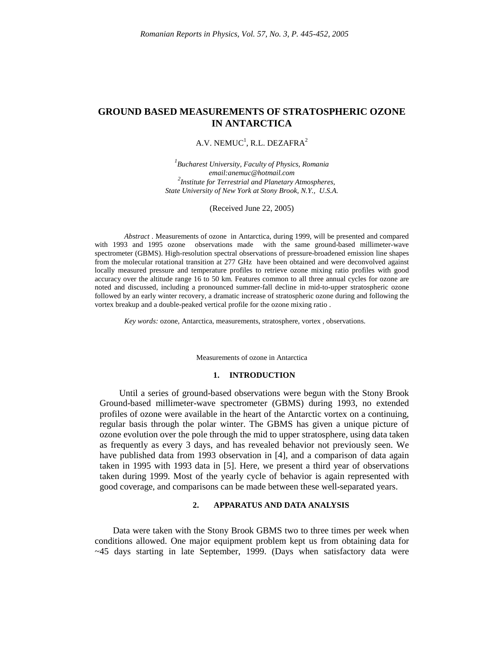# **GROUND BASED MEASUREMENTS OF STRATOSPHERIC OZONE IN ANTARCTICA**

## A.V. NEMUC<sup>1</sup>, R.L. DEZAFRA<sup>2</sup>

*1 Bucharest University, Faculty of Physics, Romania email:anemuc@hotmail.com 2 Institute for Terrestrial and Planetary Atmospheres, State University of New York at Stony Brook, N.Y., U.S.A.*

(Received June 22, 2005)

*Abstract* . Measurements of ozone in Antarctica, during 1999, will be presented and compared with 1993 and 1995 ozone observations made with the same ground-based millimeter-wave spectrometer (GBMS). High-resolution spectral observations of pressure-broadened emission line shapes from the molecular rotational transition at 277 GHz have been obtained and were deconvolved against locally measured pressure and temperature profiles to retrieve ozone mixing ratio profiles with good accuracy over the altitude range 16 to 50 km. Features common to all three annual cycles for ozone are noted and discussed, including a pronounced summer-fall decline in mid-to-upper stratospheric ozone followed by an early winter recovery, a dramatic increase of stratospheric ozone during and following the vortex breakup and a double-peaked vertical profile for the ozone mixing ratio .

*Key words:* ozone, Antarctica, measurements, stratosphere, vortex , observations.

Measurements of ozone in Antarctica

## **1. INTRODUCTION**

Until a series of ground-based observations were begun with the Stony Brook Ground-based millimeter-wave spectrometer (GBMS) during 1993, no extended profiles of ozone were available in the heart of the Antarctic vortex on a continuing, regular basis through the polar winter. The GBMS has given a unique picture of ozone evolution over the pole through the mid to upper stratosphere, using data taken as frequently as every 3 days, and has revealed behavior not previously seen. We have published data from 1993 observation in [4], and a comparison of data again taken in 1995 with 1993 data in [5]. Here, we present a third year of observations taken during 1999. Most of the yearly cycle of behavior is again represented with good coverage, and comparisons can be made between these well-separated years.

## **2. APPARATUS AND DATA ANALYSIS**

 Data were taken with the Stony Brook GBMS two to three times per week when conditions allowed. One major equipment problem kept us from obtaining data for  $\sim$  45 days starting in late September, 1999. (Days when satisfactory data were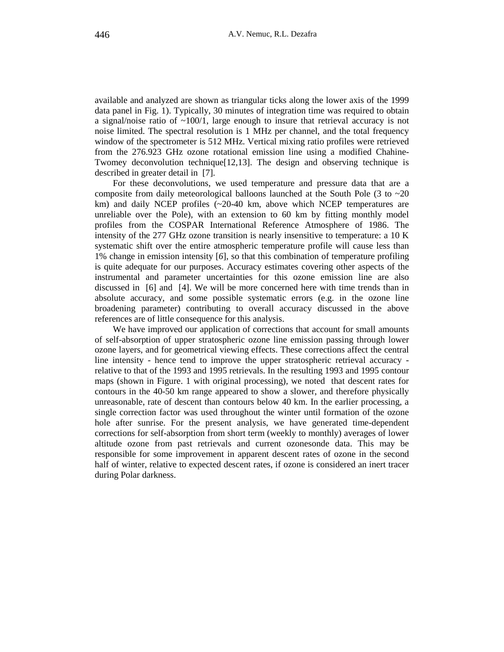available and analyzed are shown as triangular ticks along the lower axis of the 1999 data panel in Fig. 1). Typically, 30 minutes of integration time was required to obtain a signal/noise ratio of  $\sim 100/1$ , large enough to insure that retrieval accuracy is not noise limited. The spectral resolution is 1 MHz per channel, and the total frequency window of the spectrometer is 512 MHz. Vertical mixing ratio profiles were retrieved from the 276.923 GHz ozone rotational emission line using a modified Chahine-Twomey deconvolution technique $[12,13]$ . The design and observing technique is described in greater detail in [7].

 For these deconvolutions, we used temperature and pressure data that are a composite from daily meteorological balloons launched at the South Pole (3 to  $\sim$  20 km) and daily NCEP profiles (~20-40 km, above which NCEP temperatures are unreliable over the Pole), with an extension to 60 km by fitting monthly model profiles from the COSPAR International Reference Atmosphere of 1986. The intensity of the 277 GHz ozone transition is nearly insensitive to temperature: a 10 K systematic shift over the entire atmospheric temperature profile will cause less than 1% change in emission intensity [*6*], so that this combination of temperature profiling is quite adequate for our purposes. Accuracy estimates covering other aspects of the instrumental and parameter uncertainties for this ozone emission line are also discussed in [6] and [4]. We will be more concerned here with time trends than in absolute accuracy, and some possible systematic errors (e.g. in the ozone line broadening parameter) contributing to overall accuracy discussed in the above references are of little consequence for this analysis.

 We have improved our application of corrections that account for small amounts of self-absorption of upper stratospheric ozone line emission passing through lower ozone layers, and for geometrical viewing effects. These corrections affect the central line intensity - hence tend to improve the upper stratospheric retrieval accuracy relative to that of the 1993 and 1995 retrievals. In the resulting 1993 and 1995 contour maps (shown in Figure. 1 with original processing), we noted that descent rates for contours in the 40-50 km range appeared to show a slower, and therefore physically unreasonable, rate of descent than contours below 40 km. In the earlier processing, a single correction factor was used throughout the winter until formation of the ozone hole after sunrise. For the present analysis, we have generated time-dependent corrections for self-absorption from short term (weekly to monthly) averages of lower altitude ozone from past retrievals and current ozonesonde data. This may be responsible for some improvement in apparent descent rates of ozone in the second half of winter, relative to expected descent rates, if ozone is considered an inert tracer during Polar darkness.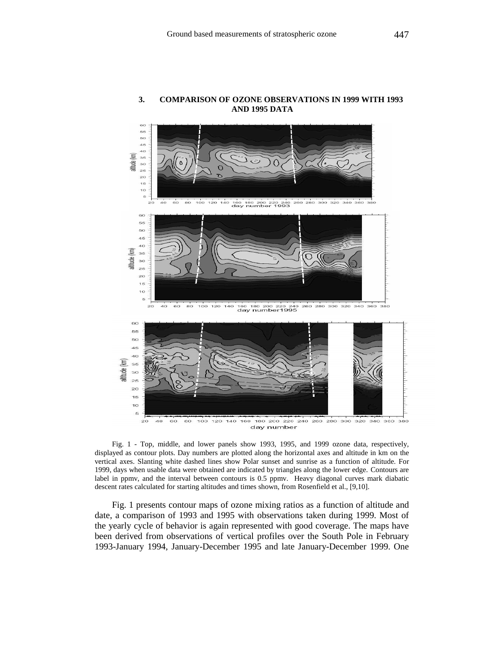

## **3. COMPARISON OF OZONE OBSERVATIONS IN 1999 WITH 1993 AND 1995 DATA**

Fig. 1 - Top, middle, and lower panels show 1993, 1995, and 1999 ozone data, respectively, displayed as contour plots. Day numbers are plotted along the horizontal axes and altitude in km on the vertical axes. Slanting white dashed lines show Polar sunset and sunrise as a function of altitude. For 1999, days when usable data were obtained are indicated by triangles along the lower edge. Contours are

Fig. 1 presents contour maps of ozone mixing ratios as a function of altitude and date, a comparison of 1993 and 1995 with observations taken during 1999. Most of the yearly cycle of behavior is again represented with good coverage. The maps have been derived from observations of vertical profiles over the South Pole in February 1993-January 1994, January-December 1995 and late January-December 1999. One

label in ppmv, and the interval between contours is 0.5 ppmv. Heavy diagonal curves mark diabatic

descent rates calculated for starting altitudes and times shown, from Rosenfield et al., [9,10].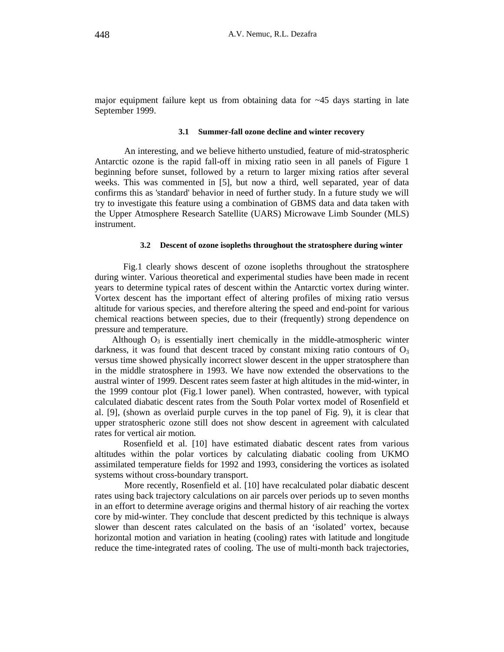major equipment failure kept us from obtaining data for  $\sim$  45 days starting in late September 1999.

#### **3.1 Summer-fall ozone decline and winter recovery**

 An interesting, and we believe hitherto unstudied, feature of mid-stratospheric Antarctic ozone is the rapid fall-off in mixing ratio seen in all panels of Figure 1 beginning before sunset, followed by a return to larger mixing ratios after several weeks. This was commented in [5], but now a third, well separated, year of data confirms this as 'standard' behavior in need of further study. In a future study we will try to investigate this feature using a combination of GBMS data and data taken with the Upper Atmosphere Research Satellite (UARS) Microwave Limb Sounder (MLS) instrument.

## **3.2 Descent of ozone isopleths throughout the stratosphere during winter**

 Fig.1 clearly shows descent of ozone isopleths throughout the stratosphere during winter. Various theoretical and experimental studies have been made in recent years to determine typical rates of descent within the Antarctic vortex during winter. Vortex descent has the important effect of altering profiles of mixing ratio versus altitude for various species, and therefore altering the speed and end-point for various chemical reactions between species, due to their (frequently) strong dependence on pressure and temperature.

Although  $O_3$  is essentially inert chemically in the middle-atmospheric winter darkness, it was found that descent traced by constant mixing ratio contours of  $O_3$ versus time showed physically incorrect slower descent in the upper stratosphere than in the middle stratosphere in 1993. We have now extended the observations to the austral winter of 1999. Descent rates seem faster at high altitudes in the mid-winter, in the 1999 contour plot (Fig.1 lower panel). When contrasted, however, with typical calculated diabatic descent rates from the South Polar vortex model of Rosenfield et al. [9], (shown as overlaid purple curves in the top panel of Fig. 9), it is clear that upper stratospheric ozone still does not show descent in agreement with calculated rates for vertical air motion.

 Rosenfield et al. [10] have estimated diabatic descent rates from various altitudes within the polar vortices by calculating diabatic cooling from UKMO assimilated temperature fields for 1992 and 1993, considering the vortices as isolated systems without cross-boundary transport.

More recently, Rosenfield et al. [10] have recalculated polar diabatic descent rates using back trajectory calculations on air parcels over periods up to seven months in an effort to determine average origins and thermal history of air reaching the vortex core by mid-winter. They conclude that descent predicted by this technique is always slower than descent rates calculated on the basis of an 'isolated' vortex, because horizontal motion and variation in heating (cooling) rates with latitude and longitude reduce the time-integrated rates of cooling. The use of multi-month back trajectories,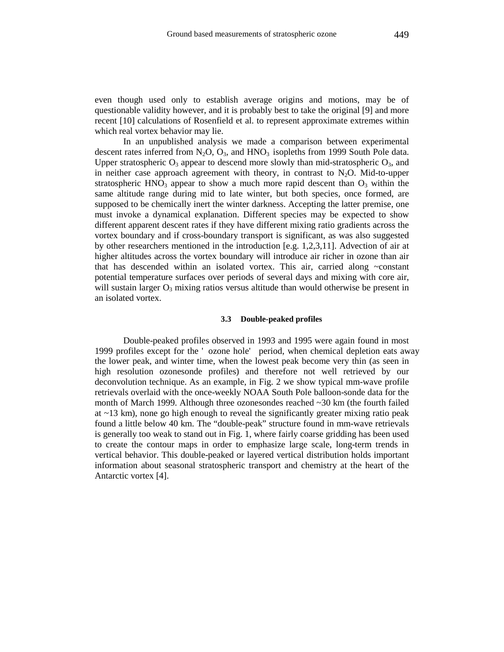even though used only to establish average origins and motions, may be of questionable validity however, and it is probably best to take the original [9] and more recent [10] calculations of Rosenfield et al. to represent approximate extremes within which real vortex behavior may lie.

 In an unpublished analysis we made a comparison between experimental descent rates inferred from  $N_2O$ ,  $O_3$ , and  $HNO_3$  isopleths from 1999 South Pole data. Upper stratospheric  $O_3$  appear to descend more slowly than mid-stratospheric  $O_3$ , and in neither case approach agreement with theory, in contrast to  $N_2O$ . Mid-to-upper stratospheric  $HNO<sub>3</sub>$  appear to show a much more rapid descent than  $O<sub>3</sub>$  within the same altitude range during mid to late winter, but both species, once formed, are supposed to be chemically inert the winter darkness. Accepting the latter premise, one must invoke a dynamical explanation. Different species may be expected to show different apparent descent rates if they have different mixing ratio gradients across the vortex boundary and if cross-boundary transport is significant, as was also suggested by other researchers mentioned in the introduction [e.g. 1,2,3,11]. Advection of air at higher altitudes across the vortex boundary will introduce air richer in ozone than air that has descended within an isolated vortex. This air, carried along ~constant potential temperature surfaces over periods of several days and mixing with core air, will sustain larger  $O_3$  mixing ratios versus altitude than would otherwise be present in an isolated vortex.

#### **3.3 Double-peaked profiles**

 Double-peaked profiles observed in 1993 and 1995 were again found in most 1999 profiles except for the ' ozone hole' period, when chemical depletion eats away the lower peak, and winter time, when the lowest peak become very thin (as seen in high resolution ozonesonde profiles) and therefore not well retrieved by our deconvolution technique. As an example, in Fig. 2 we show typical mm-wave profile retrievals overlaid with the once-weekly NOAA South Pole balloon-sonde data for the month of March 1999. Although three ozonesondes reached  $\sim$  30 km (the fourth failed at ~13 km), none go high enough to reveal the significantly greater mixing ratio peak found a little below 40 km. The "double-peak" structure found in mm-wave retrievals is generally too weak to stand out in Fig. 1, where fairly coarse gridding has been used to create the contour maps in order to emphasize large scale, long-term trends in vertical behavior. This double-peaked or layered vertical distribution holds important information about seasonal stratospheric transport and chemistry at the heart of the Antarctic vortex [4].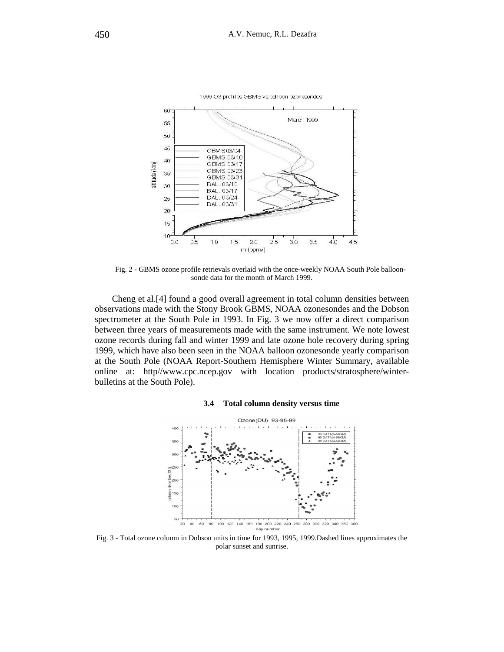

Fig. 2 - GBMS ozone profile retrievals overlaid with the once-weekly NOAA South Pole balloonsonde data for the month of March 1999.

Cheng et al.[4] found a good overall agreement in total column densities between observations made with the Stony Brook GBMS, NOAA ozonesondes and the Dobson spectrometer at the South Pole in 1993. In Fig. 3 we now offer a direct comparison between three years of measurements made with the same instrument. We note lowest ozone records during fall and winter 1999 and late ozone hole recovery during spring 1999, which have also been seen in the NOAA balloon ozonesonde yearly comparison at the South Pole (NOAA Report-Southern Hemisphere Winter Summary, available online at: http//www.cpc.ncep.gov with location products/stratosphere/winterbulletins at the South Pole).

#### **3.4 Total column density versus time**

![](_page_5_Figure_5.jpeg)

Fig. 3 - Total ozone column in Dobson units in time for 1993, 1995, 1999.Dashed lines approximates the polar sunset and sunrise.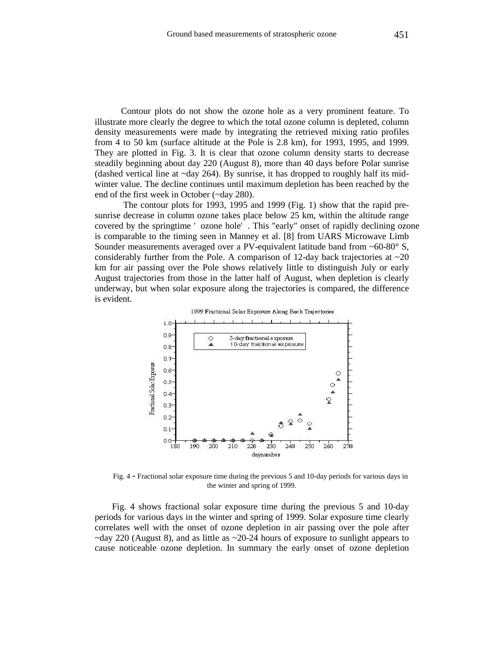Contour plots do not show the ozone hole as a very prominent feature. To illustrate more clearly the degree to which the total ozone column is depleted, column density measurements were made by integrating the retrieved mixing ratio profiles from 4 to 50 km (surface altitude at the Pole is 2.8 km), for 1993, 1995, and 1999. They are plotted in Fig. 3. It is clear that ozone column density starts to decrease steadily beginning about day 220 (August 8), more than 40 days before Polar sunrise (dashed vertical line at  $\sim$ day 264). By sunrise, it has dropped to roughly half its midwinter value. The decline continues until maximum depletion has been reached by the end of the first week in October (~day 280).

 The contour plots for 1993, 1995 and 1999 (Fig. 1) show that the rapid presunrise decrease in column ozone takes place below 25 km, within the altitude range covered by the springtime ' ozone hole' . This "early" onset of rapidly declining ozone is comparable to the timing seen in Manney et al. [8] from UARS Microwave Limb Sounder measurements averaged over a PV-equivalent latitude band from ~60-80° S, considerably further from the Pole. A comparison of 12-day back trajectories at  $\sim$ 20 km for air passing over the Pole shows relatively little to distinguish July or early August trajectories from those in the latter half of August, when depletion is clearly underway, but when solar exposure along the trajectories is compared, the difference is evident.

![](_page_6_Figure_4.jpeg)

Fig. 4 - Fractional solar exposure time during the previous 5 and 10-day periods for various days in the winter and spring of 1999.

Fig. 4 shows fractional solar exposure time during the previous 5 and 10-day periods for various days in the winter and spring of 1999. Solar exposure time clearly correlates well with the onset of ozone depletion in air passing over the pole after  $\sim$ day 220 (August 8), and as little as  $\sim$ 20-24 hours of exposure to sunlight appears to cause noticeable ozone depletion. In summary the early onset of ozone depletion